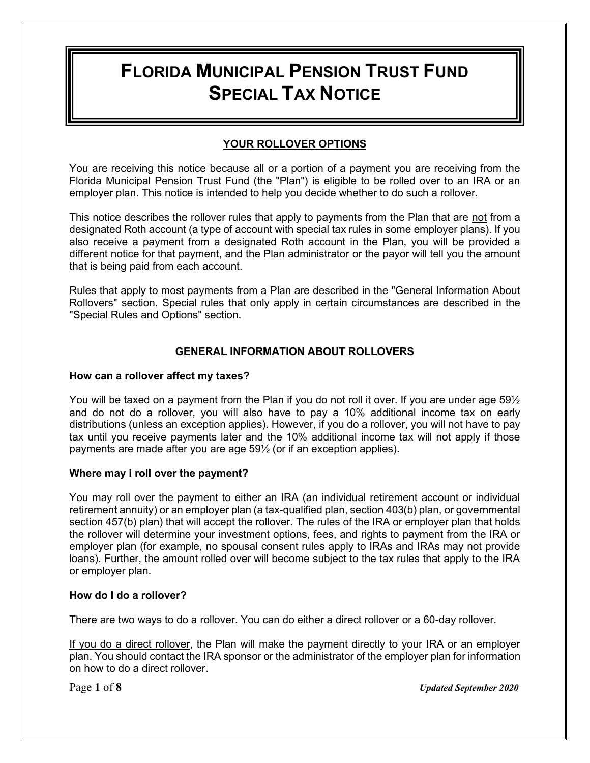# **FLORIDA MUNICIPAL PENSION TRUST FUND SPECIAL TAX NOTICE**

## **YOUR ROLLOVER OPTIONS**

You are receiving this notice because all or a portion of a payment you are receiving from the Florida Municipal Pension Trust Fund (the "Plan") is eligible to be rolled over to an IRA or an employer plan. This notice is intended to help you decide whether to do such a rollover.

This notice describes the rollover rules that apply to payments from the Plan that are not from a designated Roth account (a type of account with special tax rules in some employer plans). If you also receive a payment from a designated Roth account in the Plan, you will be provided a different notice for that payment, and the Plan administrator or the payor will tell you the amount that is being paid from each account.

Rules that apply to most payments from a Plan are described in the "General Information About Rollovers" section. Special rules that only apply in certain circumstances are described in the "Special Rules and Options" section.

## **GENERAL INFORMATION ABOUT ROLLOVERS**

#### **How can a rollover affect my taxes?**

You will be taxed on a payment from the Plan if you do not roll it over. If you are under age 59½ and do not do a rollover, you will also have to pay a 10% additional income tax on early distributions (unless an exception applies). However, if you do a rollover, you will not have to pay tax until you receive payments later and the 10% additional income tax will not apply if those payments are made after you are age 59½ (or if an exception applies).

#### **Where may I roll over the payment?**

You may roll over the payment to either an IRA (an individual retirement account or individual retirement annuity) or an employer plan (a tax-qualified plan, section 403(b) plan, or governmental section 457(b) plan) that will accept the rollover. The rules of the IRA or employer plan that holds the rollover will determine your investment options, fees, and rights to payment from the IRA or employer plan (for example, no spousal consent rules apply to IRAs and IRAs may not provide loans). Further, the amount rolled over will become subject to the tax rules that apply to the IRA or employer plan.

#### **How do I do a rollover?**

There are two ways to do a rollover. You can do either a direct rollover or a 60-day rollover.

If you do a direct rollover, the Plan will make the payment directly to your IRA or an employer plan. You should contact the IRA sponsor or the administrator of the employer plan for information on how to do a direct rollover.

Page **1** of **8** *Updated September 2020*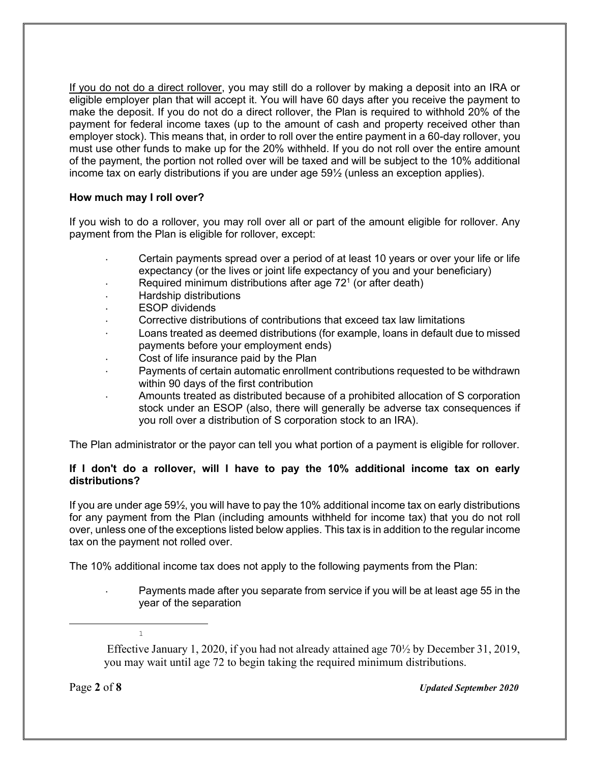If you do not do a direct rollover, you may still do a rollover by making a deposit into an IRA or eligible employer plan that will accept it. You will have 60 days after you receive the payment to make the deposit. If you do not do a direct rollover, the Plan is required to withhold 20% of the payment for federal income taxes (up to the amount of cash and property received other than employer stock). This means that, in order to roll over the entire payment in a 60-day rollover, you must use other funds to make up for the 20% withheld. If you do not roll over the entire amount of the payment, the portion not rolled over will be taxed and will be subject to the 10% additional income tax on early distributions if you are under age 59½ (unless an exception applies).

#### **How much may I roll over?**

If you wish to do a rollover, you may roll over all or part of the amount eligible for rollover. Any payment from the Plan is eligible for rollover, except:

- Certain payments spread over a period of at least 10 years or over your life or life expectancy (or the lives or joint life expectancy of you and your beneficiary)
- Example 2.1 Required minimum distributions after age  $72<sup>1</sup>$  (or after death)
- · Hardship distributions
- **ESOP** dividends
- Corrective distributions of contributions that exceed tax law limitations
- · Loans treated as deemed distributions (for example, loans in default due to missed payments before your employment ends)
- Cost of life insurance paid by the Plan
- Payments of certain automatic enrollment contributions requested to be withdrawn within 90 days of the first contribution
- · Amounts treated as distributed because of a prohibited allocation of S corporation stock under an ESOP (also, there will generally be adverse tax consequences if you roll over a distribution of S corporation stock to an IRA).

The Plan administrator or the payor can tell you what portion of a payment is eligible for rollover.

#### **If I don't do a rollover, will I have to pay the 10% additional income tax on early distributions?**

If you are under age 59½, you will have to pay the 10% additional income tax on early distributions for any payment from the Plan (including amounts withheld for income tax) that you do not roll over, unless one of the exceptions listed below applies. This tax is in addition to the regular income tax on the payment not rolled over.

The 10% additional income tax does not apply to the following payments from the Plan:

Payments made after you separate from service if you will be at least age 55 in the year of the separation

Effective January 1, 2020, if you had not already attained age 70½ by December 31, 2019, you may wait until age 72 to begin taking the required minimum distributions.

1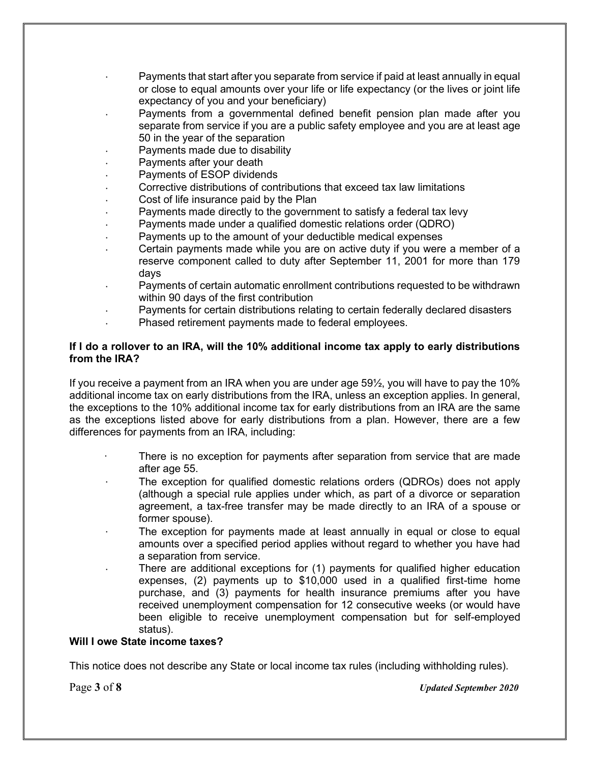- Payments that start after you separate from service if paid at least annually in equal or close to equal amounts over your life or life expectancy (or the lives or joint life expectancy of you and your beneficiary)
- Payments from a governmental defined benefit pension plan made after you separate from service if you are a public safety employee and you are at least age 50 in the year of the separation
- Payments made due to disability
- Payments after your death
- Payments of ESOP dividends
- Corrective distributions of contributions that exceed tax law limitations
- Cost of life insurance paid by the Plan
- Payments made directly to the government to satisfy a federal tax levy
- Payments made under a qualified domestic relations order (QDRO)
- Payments up to the amount of your deductible medical expenses
- Certain payments made while you are on active duty if you were a member of a reserve component called to duty after September 11, 2001 for more than 179 days
- Payments of certain automatic enrollment contributions requested to be withdrawn within 90 days of the first contribution
- Payments for certain distributions relating to certain federally declared disasters
- Phased retirement payments made to federal employees.

#### **If I do a rollover to an IRA, will the 10% additional income tax apply to early distributions from the IRA?**

If you receive a payment from an IRA when you are under age 59½, you will have to pay the 10% additional income tax on early distributions from the IRA, unless an exception applies. In general, the exceptions to the 10% additional income tax for early distributions from an IRA are the same as the exceptions listed above for early distributions from a plan. However, there are a few differences for payments from an IRA, including:

- There is no exception for payments after separation from service that are made after age 55.
- The exception for qualified domestic relations orders (QDROs) does not apply (although a special rule applies under which, as part of a divorce or separation agreement, a tax-free transfer may be made directly to an IRA of a spouse or former spouse).
- The exception for payments made at least annually in equal or close to equal amounts over a specified period applies without regard to whether you have had a separation from service.
- There are additional exceptions for (1) payments for qualified higher education expenses, (2) payments up to \$10,000 used in a qualified first-time home purchase, and (3) payments for health insurance premiums after you have received unemployment compensation for 12 consecutive weeks (or would have been eligible to receive unemployment compensation but for self-employed status).

#### **Will I owe State income taxes?**

This notice does not describe any State or local income tax rules (including withholding rules).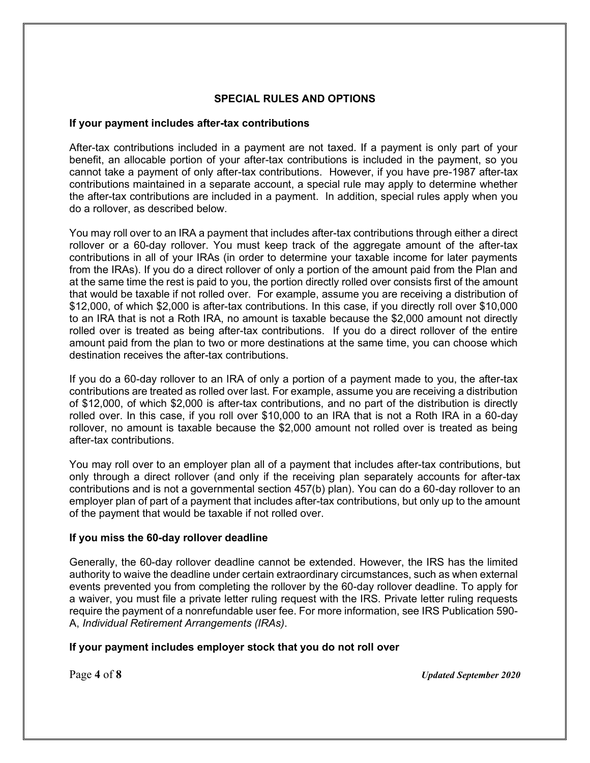### **SPECIAL RULES AND OPTIONS**

#### **If your payment includes after-tax contributions**

After-tax contributions included in a payment are not taxed. If a payment is only part of your benefit, an allocable portion of your after-tax contributions is included in the payment, so you cannot take a payment of only after-tax contributions. However, if you have pre-1987 after-tax contributions maintained in a separate account, a special rule may apply to determine whether the after-tax contributions are included in a payment. In addition, special rules apply when you do a rollover, as described below.

You may roll over to an IRA a payment that includes after-tax contributions through either a direct rollover or a 60-day rollover. You must keep track of the aggregate amount of the after-tax contributions in all of your IRAs (in order to determine your taxable income for later payments from the IRAs). If you do a direct rollover of only a portion of the amount paid from the Plan and at the same time the rest is paid to you, the portion directly rolled over consists first of the amount that would be taxable if not rolled over. For example, assume you are receiving a distribution of \$12,000, of which \$2,000 is after-tax contributions. In this case, if you directly roll over \$10,000 to an IRA that is not a Roth IRA, no amount is taxable because the \$2,000 amount not directly rolled over is treated as being after-tax contributions. If you do a direct rollover of the entire amount paid from the plan to two or more destinations at the same time, you can choose which destination receives the after-tax contributions.

If you do a 60-day rollover to an IRA of only a portion of a payment made to you, the after-tax contributions are treated as rolled over last. For example, assume you are receiving a distribution of \$12,000, of which \$2,000 is after-tax contributions, and no part of the distribution is directly rolled over. In this case, if you roll over \$10,000 to an IRA that is not a Roth IRA in a 60-day rollover, no amount is taxable because the \$2,000 amount not rolled over is treated as being after-tax contributions.

You may roll over to an employer plan all of a payment that includes after-tax contributions, but only through a direct rollover (and only if the receiving plan separately accounts for after-tax contributions and is not a governmental section 457(b) plan). You can do a 60-day rollover to an employer plan of part of a payment that includes after-tax contributions, but only up to the amount of the payment that would be taxable if not rolled over.

#### **If you miss the 60-day rollover deadline**

Generally, the 60-day rollover deadline cannot be extended. However, the IRS has the limited authority to waive the deadline under certain extraordinary circumstances, such as when external events prevented you from completing the rollover by the 60-day rollover deadline. To apply for a waiver, you must file a private letter ruling request with the IRS. Private letter ruling requests require the payment of a nonrefundable user fee. For more information, see IRS Publication 590- A, *Individual Retirement Arrangements (IRAs)*.

#### **If your payment includes employer stock that you do not roll over**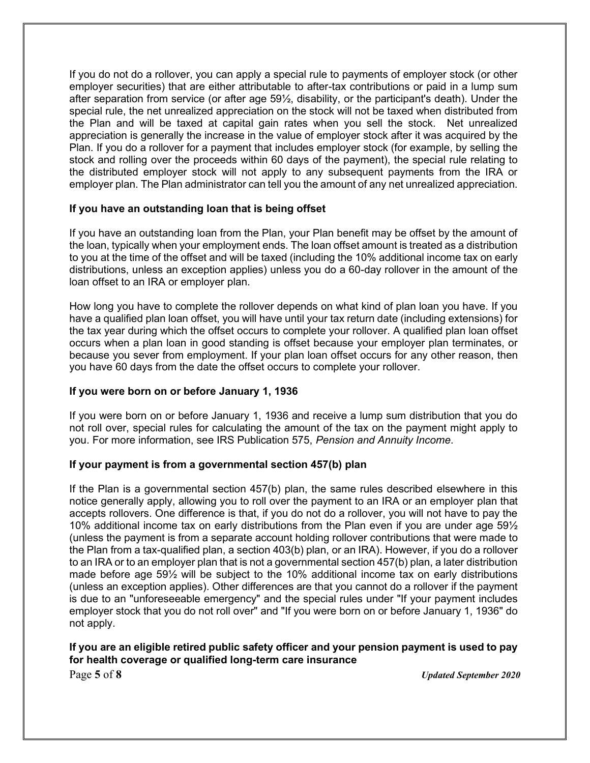If you do not do a rollover, you can apply a special rule to payments of employer stock (or other employer securities) that are either attributable to after-tax contributions or paid in a lump sum after separation from service (or after age 59½, disability, or the participant's death). Under the special rule, the net unrealized appreciation on the stock will not be taxed when distributed from the Plan and will be taxed at capital gain rates when you sell the stock. Net unrealized appreciation is generally the increase in the value of employer stock after it was acquired by the Plan. If you do a rollover for a payment that includes employer stock (for example, by selling the stock and rolling over the proceeds within 60 days of the payment), the special rule relating to the distributed employer stock will not apply to any subsequent payments from the IRA or employer plan. The Plan administrator can tell you the amount of any net unrealized appreciation.

#### **If you have an outstanding loan that is being offset**

If you have an outstanding loan from the Plan, your Plan benefit may be offset by the amount of the loan, typically when your employment ends. The loan offset amount is treated as a distribution to you at the time of the offset and will be taxed (including the 10% additional income tax on early distributions, unless an exception applies) unless you do a 60-day rollover in the amount of the loan offset to an IRA or employer plan.

How long you have to complete the rollover depends on what kind of plan loan you have. If you have a qualified plan loan offset, you will have until your tax return date (including extensions) for the tax year during which the offset occurs to complete your rollover. A qualified plan loan offset occurs when a plan loan in good standing is offset because your employer plan terminates, or because you sever from employment. If your plan loan offset occurs for any other reason, then you have 60 days from the date the offset occurs to complete your rollover.

#### **If you were born on or before January 1, 1936**

If you were born on or before January 1, 1936 and receive a lump sum distribution that you do not roll over, special rules for calculating the amount of the tax on the payment might apply to you. For more information, see IRS Publication 575, *Pension and Annuity Income*.

#### **If your payment is from a governmental section 457(b) plan**

If the Plan is a governmental section 457(b) plan, the same rules described elsewhere in this notice generally apply, allowing you to roll over the payment to an IRA or an employer plan that accepts rollovers. One difference is that, if you do not do a rollover, you will not have to pay the 10% additional income tax on early distributions from the Plan even if you are under age 59½ (unless the payment is from a separate account holding rollover contributions that were made to the Plan from a tax-qualified plan, a section 403(b) plan, or an IRA). However, if you do a rollover to an IRA or to an employer plan that is not a governmental section 457(b) plan, a later distribution made before age 59½ will be subject to the 10% additional income tax on early distributions (unless an exception applies). Other differences are that you cannot do a rollover if the payment is due to an "unforeseeable emergency" and the special rules under "If your payment includes employer stock that you do not roll over" and "If you were born on or before January 1, 1936" do not apply.

#### **If you are an eligible retired public safety officer and your pension payment is used to pay for health coverage or qualified long-term care insurance**

Page **5** of **8** *Updated September 2020*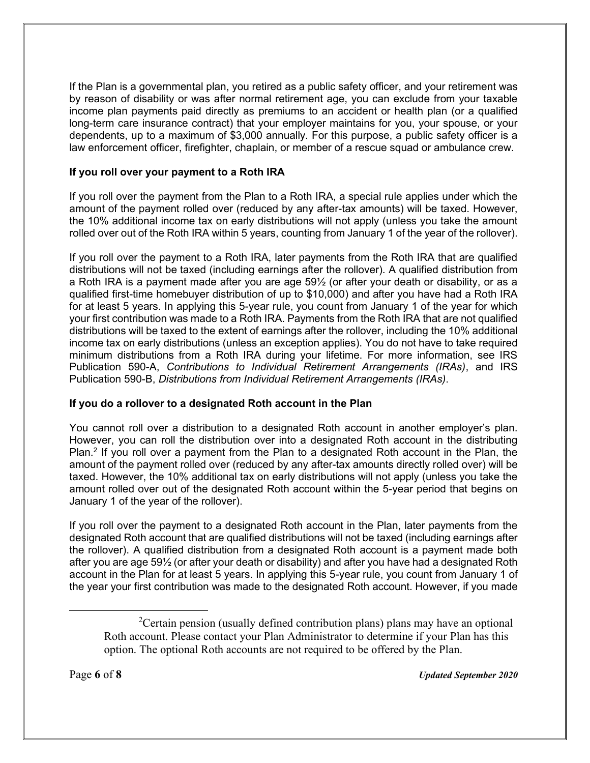If the Plan is a governmental plan, you retired as a public safety officer, and your retirement was by reason of disability or was after normal retirement age, you can exclude from your taxable income plan payments paid directly as premiums to an accident or health plan (or a qualified long-term care insurance contract) that your employer maintains for you, your spouse, or your dependents, up to a maximum of \$3,000 annually. For this purpose, a public safety officer is a law enforcement officer, firefighter, chaplain, or member of a rescue squad or ambulance crew.

## **If you roll over your payment to a Roth IRA**

If you roll over the payment from the Plan to a Roth IRA, a special rule applies under which the amount of the payment rolled over (reduced by any after-tax amounts) will be taxed. However, the 10% additional income tax on early distributions will not apply (unless you take the amount rolled over out of the Roth IRA within 5 years, counting from January 1 of the year of the rollover).

If you roll over the payment to a Roth IRA, later payments from the Roth IRA that are qualified distributions will not be taxed (including earnings after the rollover). A qualified distribution from a Roth IRA is a payment made after you are age 59½ (or after your death or disability, or as a qualified first-time homebuyer distribution of up to \$10,000) and after you have had a Roth IRA for at least 5 years. In applying this 5-year rule, you count from January 1 of the year for which your first contribution was made to a Roth IRA. Payments from the Roth IRA that are not qualified distributions will be taxed to the extent of earnings after the rollover, including the 10% additional income tax on early distributions (unless an exception applies). You do not have to take required minimum distributions from a Roth IRA during your lifetime. For more information, see IRS Publication 590-A, *Contributions to Individual Retirement Arrangements (IRAs)*, and IRS Publication 590-B, *Distributions from Individual Retirement Arrangements (IRAs)*.

# **If you do a rollover to a designated Roth account in the Plan**

You cannot roll over a distribution to a designated Roth account in another employer's plan. However, you can roll the distribution over into a designated Roth account in the distributing Plan.<sup>2</sup> If you roll over a payment from the Plan to a designated Roth account in the Plan, the amount of the payment rolled over (reduced by any after-tax amounts directly rolled over) will be taxed. However, the 10% additional tax on early distributions will not apply (unless you take the amount rolled over out of the designated Roth account within the 5-year period that begins on January 1 of the year of the rollover).

If you roll over the payment to a designated Roth account in the Plan, later payments from the designated Roth account that are qualified distributions will not be taxed (including earnings after the rollover). A qualified distribution from a designated Roth account is a payment made both after you are age 59½ (or after your death or disability) and after you have had a designated Roth account in the Plan for at least 5 years. In applying this 5-year rule, you count from January 1 of the year your first contribution was made to the designated Roth account. However, if you made

<sup>&</sup>lt;sup>2</sup>Certain pension (usually defined contribution plans) plans may have an optional Roth account. Please contact your Plan Administrator to determine if your Plan has this option. The optional Roth accounts are not required to be offered by the Plan.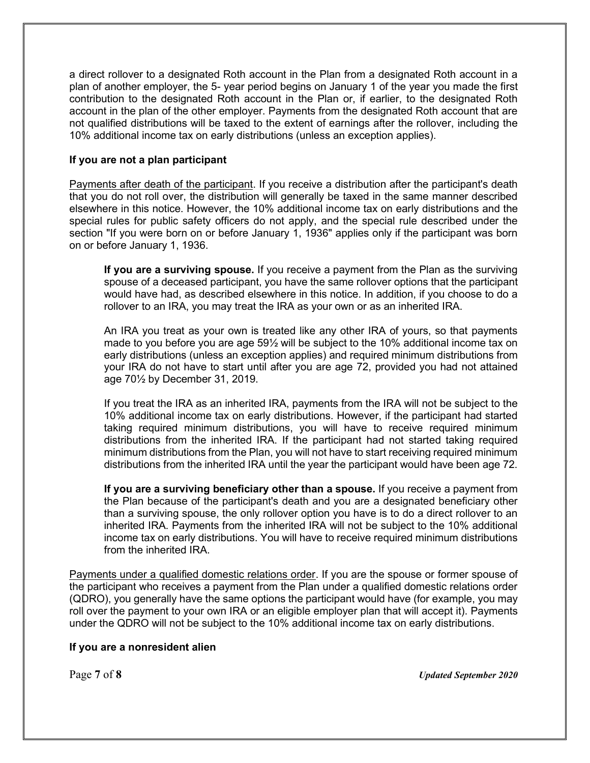a direct rollover to a designated Roth account in the Plan from a designated Roth account in a plan of another employer, the 5- year period begins on January 1 of the year you made the first contribution to the designated Roth account in the Plan or, if earlier, to the designated Roth account in the plan of the other employer. Payments from the designated Roth account that are not qualified distributions will be taxed to the extent of earnings after the rollover, including the 10% additional income tax on early distributions (unless an exception applies).

## **If you are not a plan participant**

Payments after death of the participant. If you receive a distribution after the participant's death that you do not roll over, the distribution will generally be taxed in the same manner described elsewhere in this notice. However, the 10% additional income tax on early distributions and the special rules for public safety officers do not apply, and the special rule described under the section "If you were born on or before January 1, 1936" applies only if the participant was born on or before January 1, 1936.

**If you are a surviving spouse.** If you receive a payment from the Plan as the surviving spouse of a deceased participant, you have the same rollover options that the participant would have had, as described elsewhere in this notice. In addition, if you choose to do a rollover to an IRA, you may treat the IRA as your own or as an inherited IRA.

An IRA you treat as your own is treated like any other IRA of yours, so that payments made to you before you are age 59½ will be subject to the 10% additional income tax on early distributions (unless an exception applies) and required minimum distributions from your IRA do not have to start until after you are age 72, provided you had not attained age 70½ by December 31, 2019.

If you treat the IRA as an inherited IRA, payments from the IRA will not be subject to the 10% additional income tax on early distributions. However, if the participant had started taking required minimum distributions, you will have to receive required minimum distributions from the inherited IRA. If the participant had not started taking required minimum distributions from the Plan, you will not have to start receiving required minimum distributions from the inherited IRA until the year the participant would have been age 72.

**If you are a surviving beneficiary other than a spouse.** If you receive a payment from the Plan because of the participant's death and you are a designated beneficiary other than a surviving spouse, the only rollover option you have is to do a direct rollover to an inherited IRA. Payments from the inherited IRA will not be subject to the 10% additional income tax on early distributions. You will have to receive required minimum distributions from the inherited IRA.

Payments under a qualified domestic relations order. If you are the spouse or former spouse of the participant who receives a payment from the Plan under a qualified domestic relations order (QDRO), you generally have the same options the participant would have (for example, you may roll over the payment to your own IRA or an eligible employer plan that will accept it). Payments under the QDRO will not be subject to the 10% additional income tax on early distributions.

#### **If you are a nonresident alien**

Page **7** of **8** *Updated September 2020*